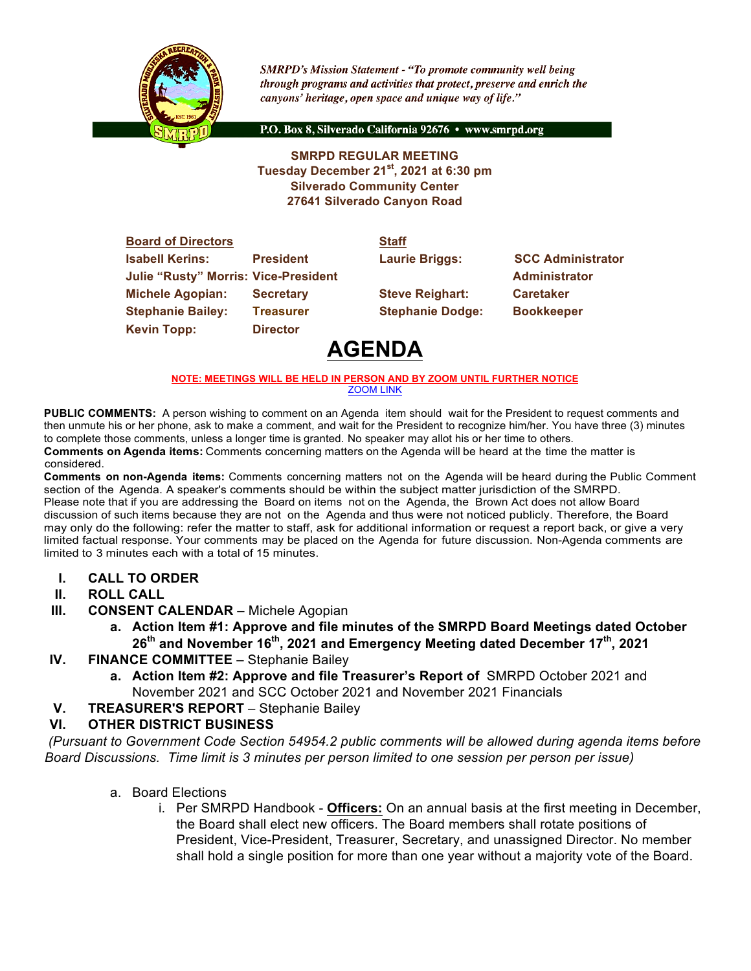

**SMRPD's Mission Statement - "To promote community well being** through programs and activities that protect, preserve and enrich the canyons' heritage, open space and unique way of life."

P.O. Box 8, Silverado California 92676 · www.smrpd.org

#### **SMRPD REGULAR MEETING Tuesday December 21st, 2021 at 6:30 pm Silverado Community Center 27641 Silverado Canyon Road**

| <b>Board of Directors</b>                   |                  | <b>Staff</b>            |                          |
|---------------------------------------------|------------------|-------------------------|--------------------------|
| <b>Isabell Kerins:</b>                      | <b>President</b> | <b>Laurie Briggs:</b>   | <b>SCC Administrator</b> |
| <b>Julie "Rusty" Morris: Vice-President</b> |                  |                         | <b>Administrator</b>     |
| <b>Michele Agopian:</b>                     | <b>Secretary</b> | <b>Steve Reighart:</b>  | <b>Caretaker</b>         |
| <b>Stephanie Bailey:</b>                    | <b>Treasurer</b> | <b>Stephanie Dodge:</b> | <b>Bookkeeper</b>        |
| <b>Kevin Topp:</b>                          | <b>Director</b>  |                         |                          |
|                                             |                  |                         |                          |

# **AGENDA**

#### **NOTE: MEETINGS WILL BE HELD IN PERSON AND BY ZOOM UNTIL FURTHER NOTICE** ZOOM LINK

**PUBLIC COMMENTS:** A person wishing to comment on an Agenda item should wait for the President to request comments and then unmute his or her phone, ask to make a comment, and wait for the President to recognize him/her. You have three (3) minutes to complete those comments, unless a longer time is granted. No speaker may allot his or her time to others. **Comments on Agenda items:** Comments concerning matters on the Agenda will be heard at the time the matter is considered.

**Comments on non-Agenda items:** Comments concerning matters not on the Agenda will be heard during the Public Comment section of the Agenda. A speaker's comments should be within the subject matter jurisdiction of the SMRPD. Please note that if you are addressing the Board on items not on the Agenda, the Brown Act does not allow Board discussion of such items because they are not on the Agenda and thus were not noticed publicly. Therefore, the Board may only do the following: refer the matter to staff, ask for additional information or request a report back, or give a very limited factual response. Your comments may be placed on the Agenda for future discussion. Non-Agenda comments are limited to 3 minutes each with a total of 15 minutes.

- **I. CALL TO ORDER**
- **II. ROLL CALL**
- **III. CONSENT CALENDAR** Michele Agopian
	- **a. Action Item #1: Approve and file minutes of the SMRPD Board Meetings dated October 26th and November 16th, 2021 and Emergency Meeting dated December 17th, 2021**
- **IV. FINANCE COMMITTEE** Stephanie Bailey
	- **a. Action Item #2: Approve and file Treasurer's Report of** SMRPD October 2021 and November 2021 and SCC October 2021 and November 2021 Financials
- **V. TREASURER'S REPORT** Stephanie Bailey

#### **VI. OTHER DISTRICT BUSINESS**

*(Pursuant to Government Code Section 54954.2 public comments will be allowed during agenda items before Board Discussions. Time limit is 3 minutes per person limited to one session per person per issue)*

- a. Board Elections
	- i. Per SMRPD Handbook **Officers:** On an annual basis at the first meeting in December, the Board shall elect new officers. The Board members shall rotate positions of President, Vice-President, Treasurer, Secretary, and unassigned Director. No member shall hold a single position for more than one year without a majority vote of the Board.